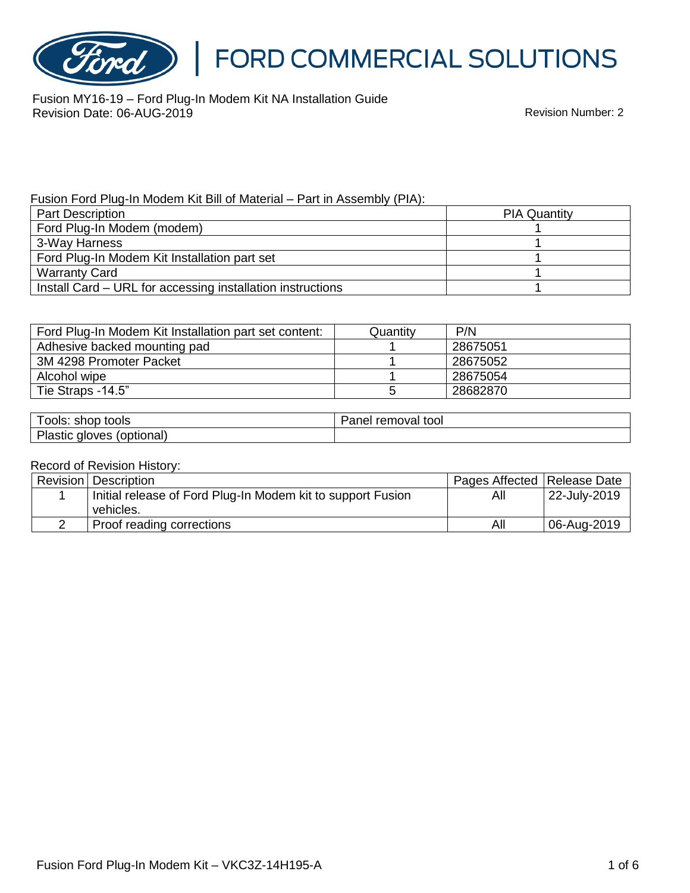

# FORD COMMERCIAL SOLUTIONS

Fusion MY16-19 – Ford Plug-In Modem Kit NA Installation Guide Revision Date: 06-AUG-2019 Revision Number: 2

Fusion Ford Plug-In Modem Kit Bill of Material – Part in Assembly (PIA):

| <b>Part Description</b>                                    | <b>PIA Quantity</b> |  |
|------------------------------------------------------------|---------------------|--|
| Ford Plug-In Modem (modem)                                 |                     |  |
| 3-Way Harness                                              |                     |  |
| Ford Plug-In Modem Kit Installation part set               |                     |  |
| <b>Warranty Card</b>                                       |                     |  |
| Install Card – URL for accessing installation instructions |                     |  |

| Ford Plug-In Modem Kit Installation part set content: | Quantity | P/N      |
|-------------------------------------------------------|----------|----------|
| Adhesive backed mounting pad                          |          | 28675051 |
| 3M 4298 Promoter Packet                               |          | 28675052 |
| Alcohol wipe                                          |          | 28675054 |
| Tie Straps -14.5"                                     |          | 28682870 |

| shop<br>tools<br>OOIS:                              | 50.000<br>tool<br>งval<br>remc<br>aner |
|-----------------------------------------------------|----------------------------------------|
| וכו<br>(optional)<br>loves<br><b>a</b> lc<br>iastic |                                        |

#### Record of Revision History:

| <b>Revision</b> Description                                 | Pages Affected   Release Date |              |
|-------------------------------------------------------------|-------------------------------|--------------|
| Initial release of Ford Plug-In Modem kit to support Fusion | All                           | 22-July-2019 |
| vehicles.                                                   |                               |              |
| Proof reading corrections                                   | All                           | 06-Aug-2019  |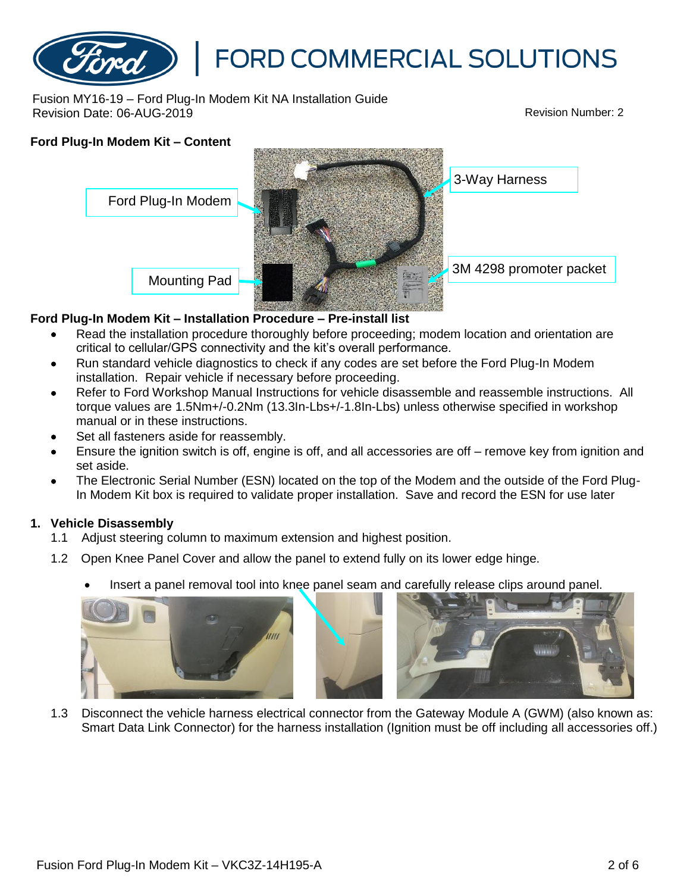

Fusion MY16-19 – Ford Plug-In Modem Kit NA Installation Guide Revision Date: 06-AUG-2019 Revision Number: 2

# **Ford Plug-In Modem Kit – Content** Mounting Pad 3-Way Harness Ford Plug-In Modem 3M 4298 promoter packet

### **Ford Plug-In Modem Kit – Installation Procedure – Pre-install list**

- Read the installation procedure thoroughly before proceeding; modem location and orientation are critical to cellular/GPS connectivity and the kit's overall performance.
- Run standard vehicle diagnostics to check if any codes are set before the Ford Plug-In Modem installation. Repair vehicle if necessary before proceeding.
- Refer to Ford Workshop Manual Instructions for vehicle disassemble and reassemble instructions. All torque values are 1.5Nm+/-0.2Nm (13.3In-Lbs+/-1.8In-Lbs) unless otherwise specified in workshop manual or in these instructions.
- Set all fasteners aside for reassembly.
- Ensure the ignition switch is off, engine is off, and all accessories are off remove key from ignition and set aside.
- The Electronic Serial Number (ESN) located on the top of the Modem and the outside of the Ford Plug-In Modem Kit box is required to validate proper installation. Save and record the ESN for use later

#### **1. Vehicle Disassembly**

- 1.1 Adjust steering column to maximum extension and highest position.
- 1.2 Open Knee Panel Cover and allow the panel to extend fully on its lower edge hinge.
	- Insert a panel removal tool into knee panel seam and carefully release clips around panel.



1.3 Disconnect the vehicle harness electrical connector from the Gateway Module A (GWM) (also known as: Smart Data Link Connector) for the harness installation (Ignition must be off including all accessories off.)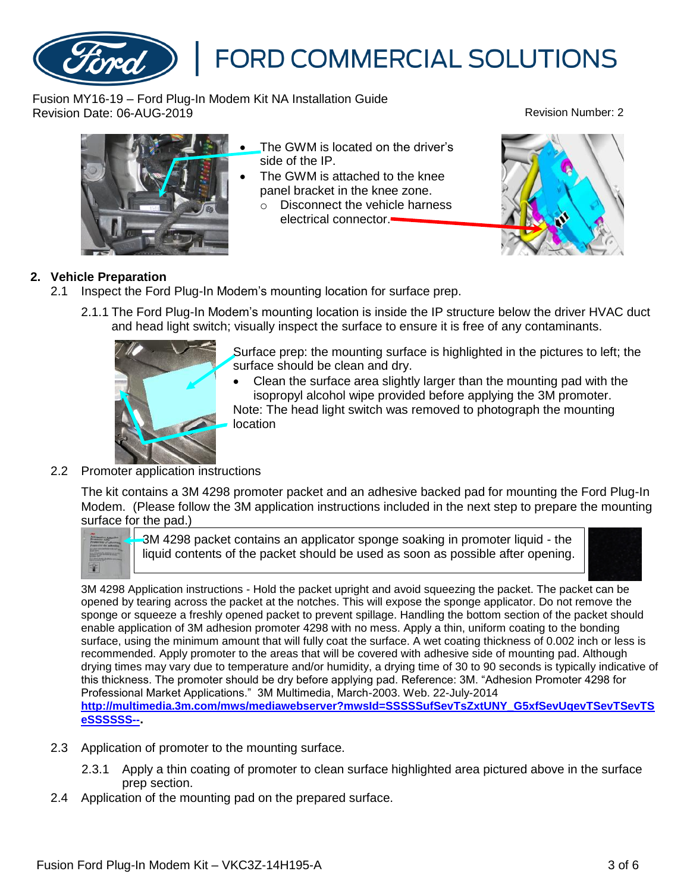Fusion Ford Plug-In Modem Kit – VKC3Z-14H195-A 3 of 6

## **FORD COMMERCIAL SOLUTIONS**

Fusion MY16-19 – Ford Plug-In Modem Kit NA Installation Guide Revision Date: 06-AUG-2019 Revision Number: 2



The GWM is located on the driver's side of the IP.

- The GWM is attached to the knee panel bracket in the knee zone.
	- o Disconnect the vehicle harness electrical connector.



## **2. Vehicle Preparation**

- 2.1 Inspect the Ford Plug-In Modem's mounting location for surface prep.
	- 2.1.1 The Ford Plug-In Modem's mounting location is inside the IP structure below the driver HVAC duct and head light switch; visually inspect the surface to ensure it is free of any contaminants.



Surface prep: the mounting surface is highlighted in the pictures to left; the surface should be clean and dry.

- Clean the surface area slightly larger than the mounting pad with the isopropyl alcohol wipe provided before applying the 3M promoter. Note: The head light switch was removed to photograph the mounting location
- 2.2 Promoter application instructions

The kit contains a 3M 4298 promoter packet and an adhesive backed pad for mounting the Ford Plug-In Modem. (Please follow the 3M application instructions included in the next step to prepare the mounting surface for the pad.)



3M 4298 packet contains an applicator sponge soaking in promoter liquid - the liquid contents of the packet should be used as soon as possible after opening.



3M 4298 Application instructions - Hold the packet upright and avoid squeezing the packet. The packet can be opened by tearing across the packet at the notches. This will expose the sponge applicator. Do not remove the sponge or squeeze a freshly opened packet to prevent spillage. Handling the bottom section of the packet should enable application of 3M adhesion promoter 4298 with no mess. Apply a thin, uniform coating to the bonding surface, using the minimum amount that will fully coat the surface. A wet coating thickness of 0.002 inch or less is recommended. Apply promoter to the areas that will be covered with adhesive side of mounting pad. Although drying times may vary due to temperature and/or humidity, a drying time of 30 to 90 seconds is typically indicative of this thickness. The promoter should be dry before applying pad. Reference: 3M. "Adhesion Promoter 4298 for Professional Market Applications." 3M Multimedia, March-2003. Web. 22-July-2014 **[http://multimedia.3m.com/mws/mediawebserver?mwsId=SSSSSufSevTsZxtUNY\\_G5xfSevUqevTSevTSevTS](http://multimedia.3m.com/mws/mediawebserver?mwsId=SSSSSufSevTsZxtUNY_G5xfSevUqevTSevTSevTSeSSSSSS--) [eSSSSSS--](http://multimedia.3m.com/mws/mediawebserver?mwsId=SSSSSufSevTsZxtUNY_G5xfSevUqevTSevTSevTSeSSSSSS--).**

- 2.3 Application of promoter to the mounting surface.
	- 2.3.1 Apply a thin coating of promoter to clean surface highlighted area pictured above in the surface prep section.
- 2.4 Application of the mounting pad on the prepared surface.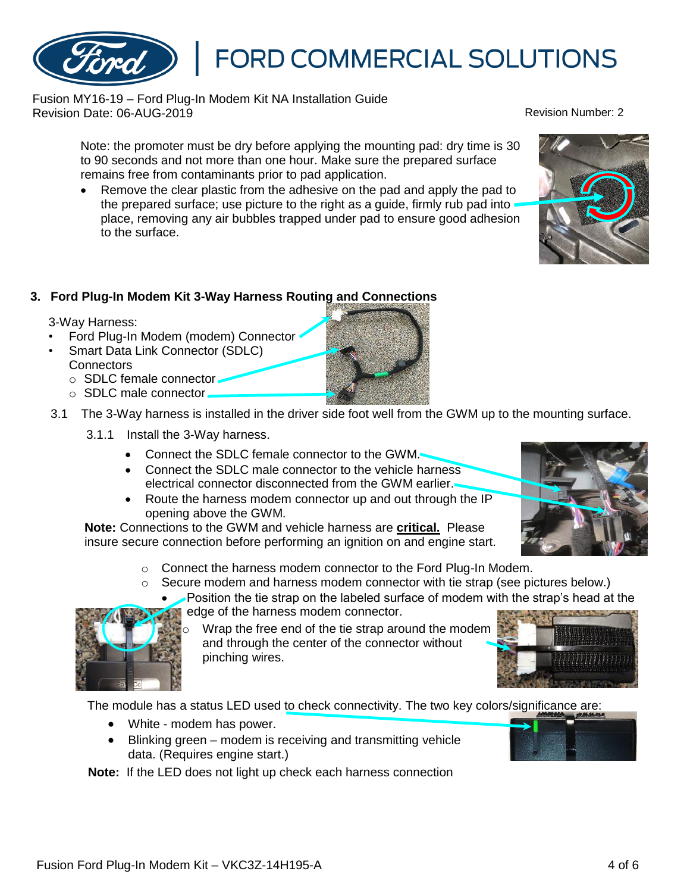• White - modem has power.

data. (Requires engine start.)

# **FORD COMMERCIAL SOLUTIONS**

Fusion MY16-19 – Ford Plug-In Modem Kit NA Installation Guide Revision Date: 06-AUG-2019 Revision Number: 2

Note: the promoter must be dry before applying the mounting pad: dry time is 30 to 90 seconds and not more than one hour. Make sure the prepared surface remains free from contaminants prior to pad application.

• Remove the clear plastic from the adhesive on the pad and apply the pad to the prepared surface; use picture to the right as a guide, firmly rub pad into place, removing any air bubbles trapped under pad to ensure good adhesion to the surface.

## **3. Ford Plug-In Modem Kit 3-Way Harness Routing and Connections**

3-Way Harness:

- Ford Plug-In Modem (modem) Connector
- Smart Data Link Connector (SDLC) **Connectors** 
	- o SDLC female connector
	- o SDLC male connector
- 3.1 The 3-Way harness is installed in the driver side foot well from the GWM up to the mounting surface.
	- 3.1.1 Install the 3-Way harness.
		- Connect the SDLC female connector to the GWM.
		- Connect the SDLC male connector to the vehicle harness electrical connector disconnected from the GWM earlier.
		- Route the harness modem connector up and out through the IP opening above the GWM.

**Note:** Connections to the GWM and vehicle harness are **critical.** Please insure secure connection before performing an ignition on and engine start.

**Note:** If the LED does not light up check each harness connection

• Blinking green – modem is receiving and transmitting vehicle

- o Connect the harness modem connector to the Ford Plug-In Modem.
- $\circ$  Secure modem and harness modem connector with tie strap (see pictures below.)
	- Position the tie strap on the labeled surface of modem with the strap's head at the edge of the harness modem connector.



Wrap the free end of the tie strap around the modem and through the center of the connector without pinching wires.











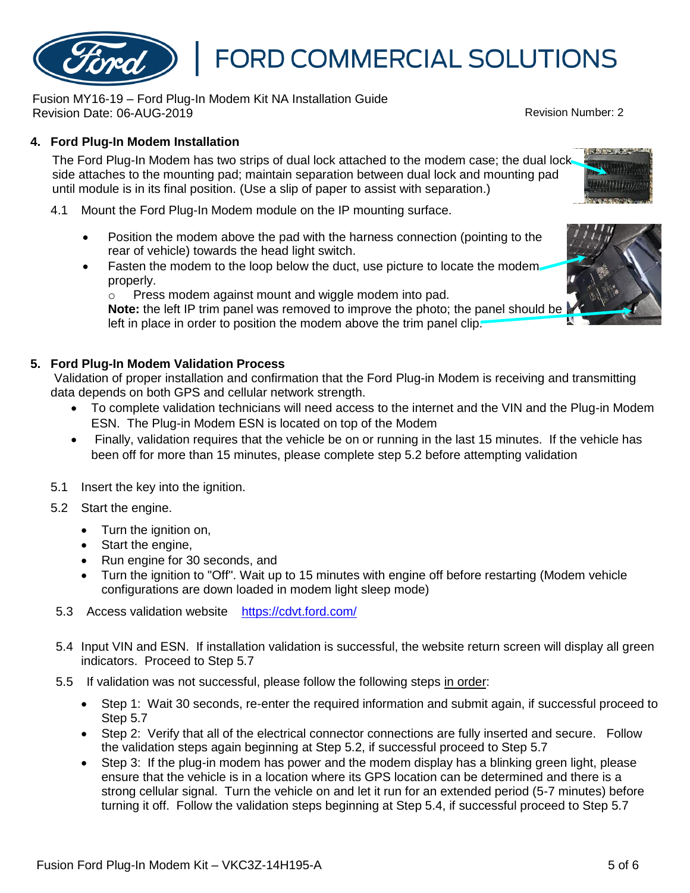Fusion Ford Plug-In Modem Kit – VKC3Z-14H195-A 5 of 6 September 10 and 5 of 6 September 10 and 5 of 6

# **FORD COMMERCIAL SOLUTIONS**

Fusion MY16-19 – Ford Plug-In Modem Kit NA Installation Guide Revision Date: 06-AUG-2019 Revision Number: 2

## **4. Ford Plug-In Modem Installation**

The Ford Plug-In Modem has two strips of dual lock attached to the modem case; the dual lock side attaches to the mounting pad; maintain separation between dual lock and mounting pad until module is in its final position. (Use a slip of paper to assist with separation.)

- 4.1 Mount the Ford Plug-In Modem module on the IP mounting surface.
	- Position the modem above the pad with the harness connection (pointing to the rear of vehicle) towards the head light switch.
	- Fasten the modem to the loop below the duct, use picture to locate the modemproperly.

o Press modem against mount and wiggle modem into pad.

**Note:** the left IP trim panel was removed to improve the photo; the panel should be left in place in order to position the modem above the trim panel clip.

### **5. Ford Plug-In Modem Validation Process**

Validation of proper installation and confirmation that the Ford Plug-in Modem is receiving and transmitting data depends on both GPS and cellular network strength.

- To complete validation technicians will need access to the internet and the VIN and the Plug-in Modem ESN. The Plug-in Modem ESN is located on top of the Modem
- Finally, validation requires that the vehicle be on or running in the last 15 minutes. If the vehicle has been off for more than 15 minutes, please complete step 5.2 before attempting validation
- 5.1 Insert the key into the ignition.
- 5.2 Start the engine.
	- Turn the ignition on,
	- Start the engine,
	- Run engine for 30 seconds, and
	- Turn the ignition to "Off". Wait up to 15 minutes with engine off before restarting (Modem vehicle configurations are down loaded in modem light sleep mode)
- 5.3 Access validation website <https://cdvt.ford.com/>
- 5.4 Input VIN and ESN. If installation validation is successful, the website return screen will display all green indicators. Proceed to Step 5.7
- 5.5 If validation was not successful, please follow the following steps in order:
	- Step 1: Wait 30 seconds, re-enter the required information and submit again, if successful proceed to Step 5.7
	- Step 2: Verify that all of the electrical connector connections are fully inserted and secure. Follow the validation steps again beginning at Step 5.2, if successful proceed to Step 5.7
	- Step 3: If the plug-in modem has power and the modem display has a blinking green light, please ensure that the vehicle is in a location where its GPS location can be determined and there is a strong cellular signal. Turn the vehicle on and let it run for an extended period (5-7 minutes) before turning it off. Follow the validation steps beginning at Step 5.4, if successful proceed to Step 5.7



**POSTS IN BURNING**